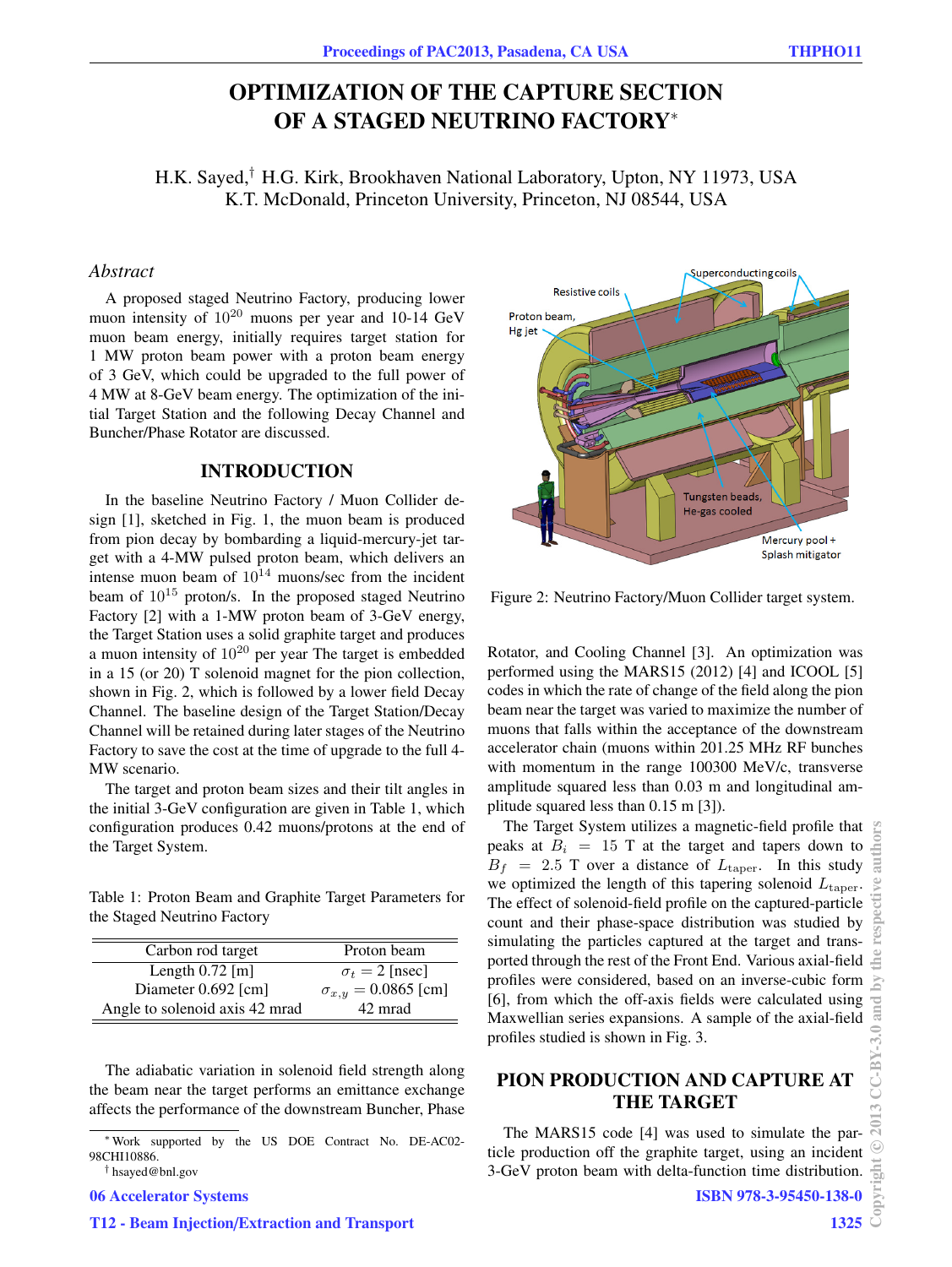# OPTIMIZATION OF THE CAPTURE SECTION OF A STAGED NEUTRINO FACTORY<sup>∗</sup>

H.K. Sayed,† H.G. Kirk, Brookhaven National Laboratory, Upton, NY 11973, USA K.T. McDonald, Princeton University, Princeton, NJ 08544, USA

### *Abstract*

A proposed staged Neutrino Factory, producing lower muon intensity of  $10^{20}$  muons per year and 10-14 GeV muon beam energy, initially requires target station for 1 MW proton beam power with a proton beam energy of 3 GeV, which could be upgraded to the full power of 4 MW at 8-GeV beam energy. The optimization of the initial Target Station and the following Decay Channel and Buncher/Phase Rotator are discussed.

#### INTRODUCTION

In the baseline Neutrino Factory / Muon Collider design [1], sketched in Fig. 1, the muon beam is produced from pion decay by bombarding a liquid-mercury-jet target with a 4-MW pulsed proton beam, which delivers an intense muon beam of  $10^{14}$  muons/sec from the incident beam of  $10^{15}$  proton/s. In the proposed staged Neutrino Factory [2] with a 1-MW proton beam of 3-GeV energy, the Target Station uses a solid graphite target and produces a muon intensity of 10<sup>20</sup> per year The target is embedded in a 15 (or 20) T solenoid magnet for the pion collection, shown in Fig. 2, which is followed by a lower field Decay Channel. The baseline design of the Target Station/Decay Channel will be retained during later stages of the Neutrino Factory to save the cost at the time of upgrade to the full 4- MW scenario.

The target and proton beam sizes and their tilt angles in the initial 3-GeV configuration are given in Table 1, which configuration produces 0.42 muons/protons at the end of the Target System.

Table 1: Proton Beam and Graphite Target Parameters for the Staged Neutrino Factory

| Carbon rod target              | Proton beam                  |
|--------------------------------|------------------------------|
| Length $0.72$ [m]              | $\sigma_t = 2$ [nsec]        |
| Diameter $0.692$ [cm]          | $\sigma_{x,y} = 0.0865$ [cm] |
| Angle to solenoid axis 42 mrad | 42 mrad                      |

The adiabatic variation in solenoid field strength along the beam near the target performs an emittance exchange affects the performance of the downstream Buncher, Phase

06 Accelerator Systems



† hsayed@bnl.gov



Figure 2: Neutrino Factory/Muon Collider target system.

Rotator, and Cooling Channel [3]. An optimization was performed using the MARS15 (2012) [4] and ICOOL [5] codes in which the rate of change of the field along the pion beam near the target was varied to maximize the number of muons that falls within the acceptance of the downstream accelerator chain (muons within 201.25 MHz RF bunches with momentum in the range 100300 MeV/c, transverse amplitude squared less than 0.03 m and longitudinal amplitude squared less than 0.15 m [3]).

The Target System utilizes a magnetic-field profile that peaks at  $B_i = 15$  T at the target and tapers down to  $B_f$  = 2.5 T over a distance of  $L_{\text{taper}}$ . In this study we optimized the length of this tapering solenoid  $L_{\text{taper}}$ . The effect of solenoid-field profile on the captured-particle count and their phase-space distribution was studied by simulating the particles captured at the target and transported through the rest of the Front End. Various axial-field profiles were considered, based on an inverse-cubic form [6], from which the off-axis fields were calculated using Maxwellian series expansions. A sample of the axial-field profiles studied is shown in Fig. 3.

## PION PRODUCTION AND CAPTURE AT THE TARGET

The MARS15 code [4] was used to simulate the particle production off the graphite target, using an incident 3-GeV proton beam with delta-function time distribution.

1325

<sup>∗</sup>Work supported by the US DOE Contract No. DE-AC02- 98CHI10886.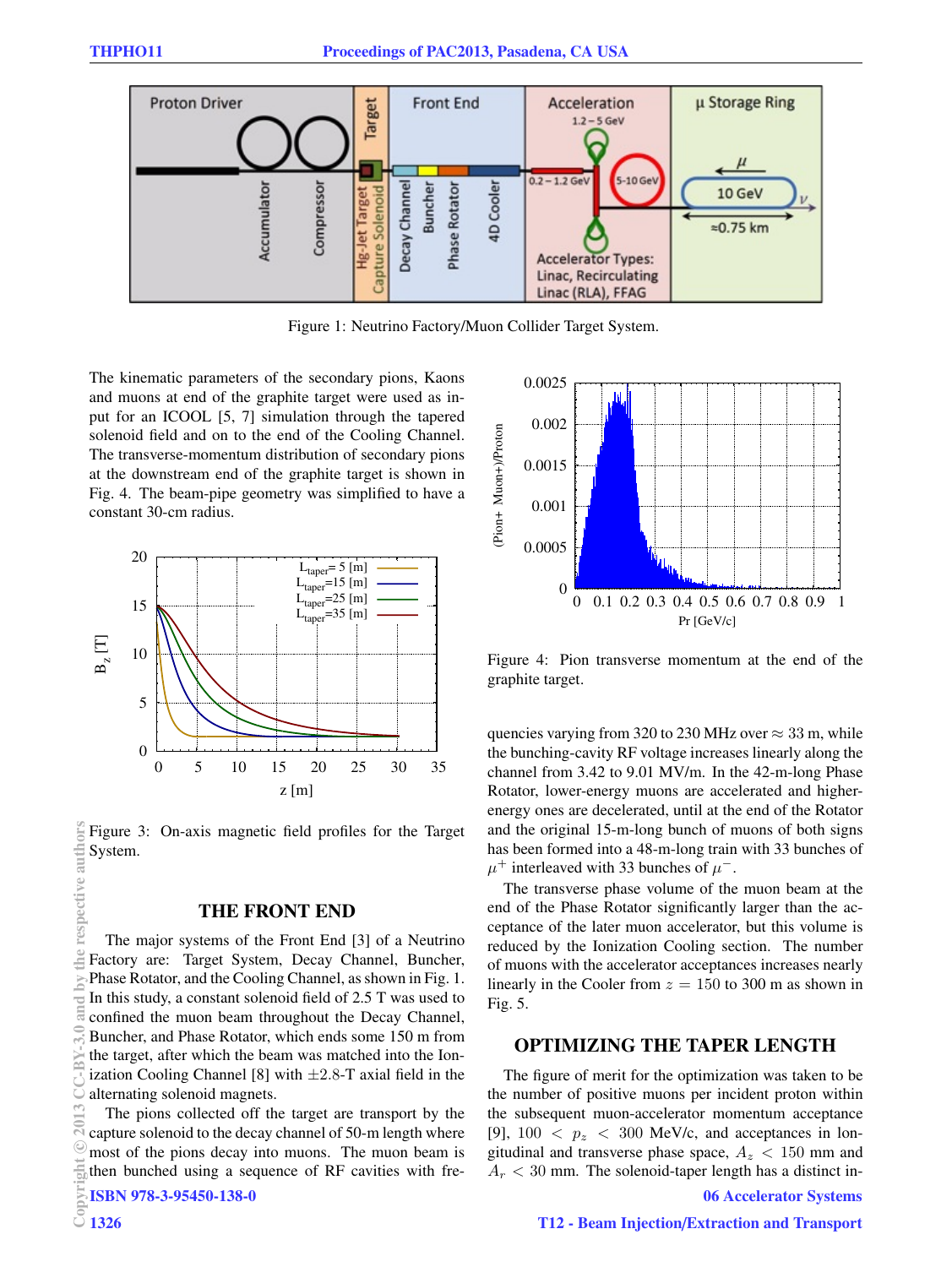

Figure 1: Neutrino Factory/Muon Collider Target System.

The kinematic parameters of the secondary pions, Kaons and muons at end of the graphite target were used as input for an ICOOL [5, 7] simulation through the tapered solenoid field and on to the end of the Cooling Channel. The transverse-momentum distribution of secondary pions at the downstream end of the graphite target is shown in Fig. 4. The beam-pipe geometry was simplified to have a constant 30-cm radius.



Figure 3: On-axis magnetic field profiles for the Target respective authors System.

#### THE FRONT END

The major systems of the Front End [3] of a Neutrino Factory are: Target System, Decay Channel, Buncher, Phase Rotator, and the Cooling Channel, as shown in Fig. 1. In this study, a constant solenoid field of 2.5 T was used to confined the muon beam throughout the Decay Channel, Buncher, and Phase Rotator, which ends some 150 m from the target, after which the beam was matched into the Ionization Cooling Channel [8] with  $\pm 2.8$ -T axial field in the alternating solenoid magnets.  $\circledcirc$  2013 CC-BY-3.0 and by the respective authors<br> **2** c a b i d b d h  $\mathbf{F}$  h  $\mathbf{F}$ 

The pions collected off the target are transport by the capture solenoid to the decay channel of 50-m length where most of the pions decay into muons. The muon beam is then bunched using a sequence of RF cavities with fre-<br>  $\frac{1}{25}$  ISBN 978-3-95450-138-0<br>  $\frac{1}{25}$  1326

ISBN 978-3-95450-138-0



Figure 4: Pion transverse momentum at the end of the graphite target.

quencies varying from 320 to 230 MHz over  $\approx 33$  m, while the bunching-cavity RF voltage increases linearly along the channel from 3.42 to 9.01 MV/m. In the 42-m-long Phase Rotator, lower-energy muons are accelerated and higherenergy ones are decelerated, until at the end of the Rotator and the original 15-m-long bunch of muons of both signs has been formed into a 48-m-long train with 33 bunches of  $\mu^+$  interleaved with 33 bunches of  $\mu^-$ .

The transverse phase volume of the muon beam at the end of the Phase Rotator significantly larger than the acceptance of the later muon accelerator, but this volume is reduced by the Ionization Cooling section. The number of muons with the accelerator acceptances increases nearly linearly in the Cooler from  $z = 150$  to 300 m as shown in Fig. 5.

### OPTIMIZING THE TAPER LENGTH

The figure of merit for the optimization was taken to be the number of positive muons per incident proton within the subsequent muon-accelerator momentum acceptance [9],  $100 < p_z < 300$  MeV/c, and acceptances in longitudinal and transverse phase space,  $A_z < 150$  mm and  $A_r < 30$  mm. The solenoid-taper length has a distinct in-

#### 06 Accelerator Systems

 $_{\odot}$ 

 $\approx$ 

Þ